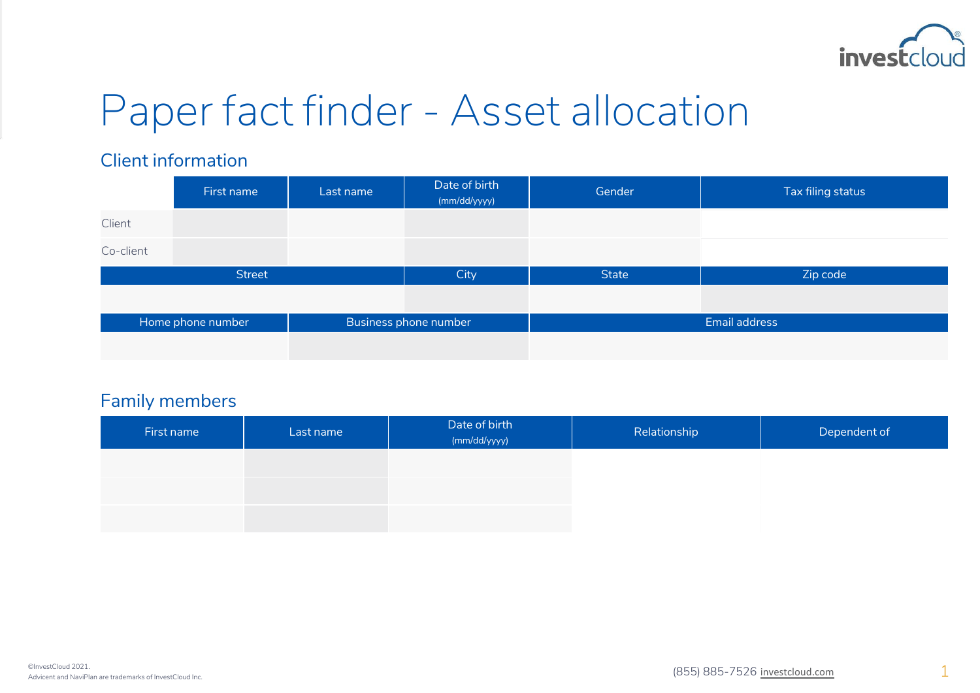

# Paper fact finder - Asset allocation

#### Client information

|                   | First name | Last name             | Date of birth<br>(mm/dd/yyyy) | Gender        | Tax filing status |
|-------------------|------------|-----------------------|-------------------------------|---------------|-------------------|
| Client            |            |                       |                               |               |                   |
| Co-client         |            |                       |                               |               |                   |
| <b>Street</b>     |            |                       | City                          | State         | Zip code          |
|                   |            |                       |                               |               |                   |
| Home phone number |            | Business phone number |                               | Email address |                   |
|                   |            |                       |                               |               |                   |

#### Family members

| First name | Last name | Date of birth<br>(mm/dd/yyyy) | Relationship | Dependent of |
|------------|-----------|-------------------------------|--------------|--------------|
|            |           |                               |              |              |
|            |           |                               |              |              |
|            |           |                               |              |              |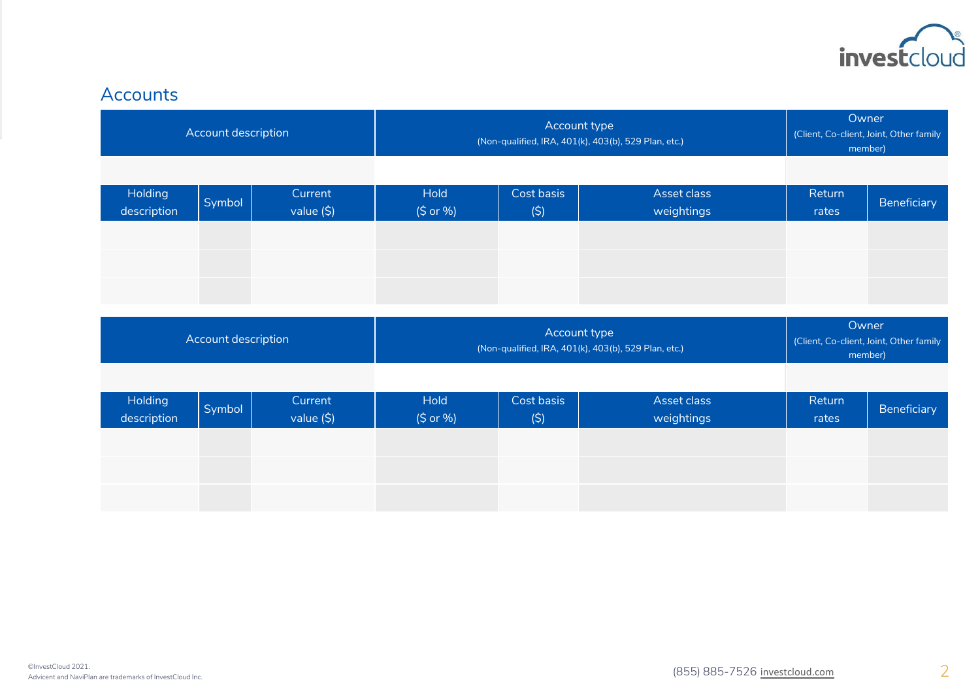

## Accounts

| Account description    |        |                       | Account type<br>(Non-qualified, IRA, 401(k), 403(b), 529 Plan, etc.) |                   |                                                                      | Owner<br>(Client, Co-client, Joint, Other family<br>member) |                                                             |
|------------------------|--------|-----------------------|----------------------------------------------------------------------|-------------------|----------------------------------------------------------------------|-------------------------------------------------------------|-------------------------------------------------------------|
| Holding<br>description | Symbol | Current<br>value (\$) | <b>Hold</b><br>(\$ or %)                                             | Cost basis<br>(5) | Asset class<br>weightings                                            | Return<br>rates                                             | Beneficiary                                                 |
| Account description    |        |                       |                                                                      |                   |                                                                      |                                                             |                                                             |
|                        |        |                       |                                                                      |                   | Account type<br>(Non-qualified, IRA, 401(k), 403(b), 529 Plan, etc.) |                                                             | Owner<br>(Client, Co-client, Joint, Other family<br>member) |
| Holding<br>description | Symbol | Current<br>value (\$) | <b>Hold</b><br>(\$ or %)                                             | Cost basis<br>(5) | Asset class<br>weightings                                            | Return<br>rates                                             | Beneficiary                                                 |
|                        |        |                       |                                                                      |                   |                                                                      |                                                             |                                                             |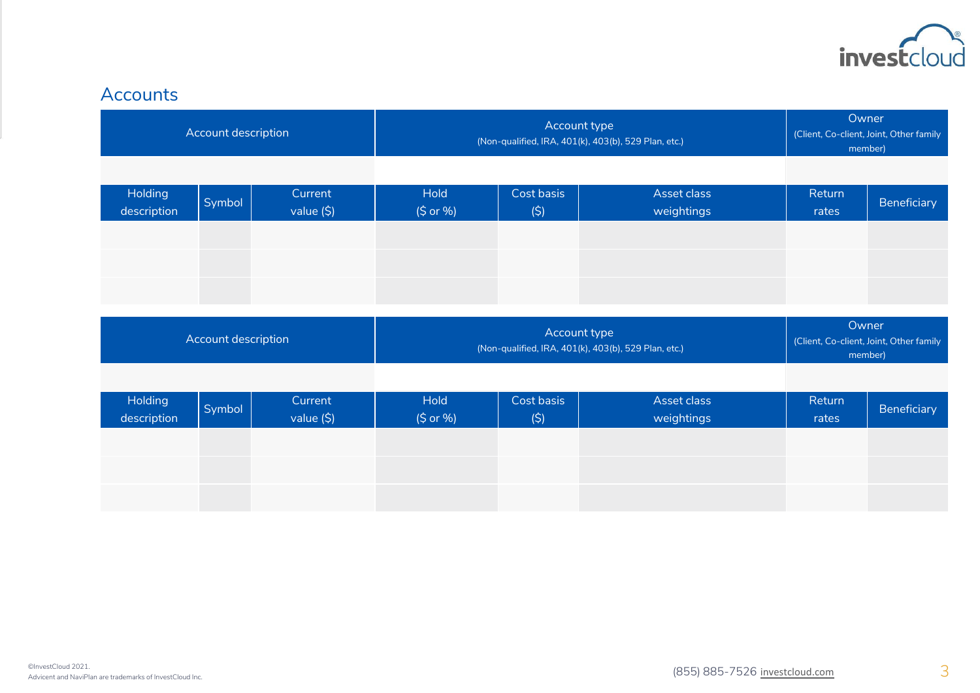

## Accounts

| Account description    |        |                       | Account type<br>(Non-qualified, IRA, 401(k), 403(b), 529 Plan, etc.) |                   |                           | Owner<br>(Client, Co-client, Joint, Other family<br>member) |                                         |
|------------------------|--------|-----------------------|----------------------------------------------------------------------|-------------------|---------------------------|-------------------------------------------------------------|-----------------------------------------|
| Holding<br>description | Symbol | Current<br>value (\$) | <b>Hold</b><br>$(S$ or %)                                            | Cost basis<br>(5) | Asset class<br>weightings | Return<br>rates                                             | Beneficiary                             |
| Account description    |        |                       | Account type<br>(Non-qualified, IRA, 401(k), 403(b), 529 Plan, etc.) |                   |                           | Owner                                                       | (Client, Co-client, Joint, Other family |
|                        |        |                       |                                                                      |                   |                           | member)                                                     |                                         |
| Holding<br>description | Symbol | Current<br>value (\$) | <b>Hold</b><br>(\$ or %)                                             | Cost basis<br>(5) | Asset class<br>weightings | Return<br>rates                                             | Beneficiary                             |
|                        |        |                       |                                                                      |                   |                           |                                                             |                                         |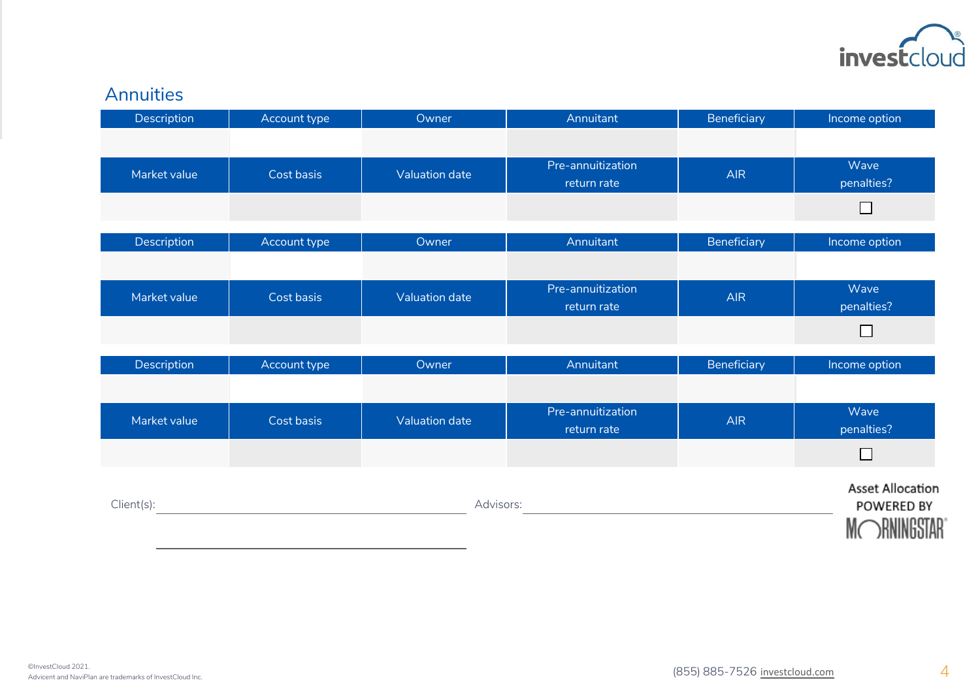

# Annuities

| Description  | Account type | Owner                 | Annuitant                        | Beneficiary | Income option                              |
|--------------|--------------|-----------------------|----------------------------------|-------------|--------------------------------------------|
|              |              |                       |                                  |             |                                            |
| Market value | Cost basis   | <b>Valuation date</b> | Pre-annuitization<br>return rate | <b>AIR</b>  | Wave<br>penalties?                         |
|              |              |                       |                                  |             | $\Box$                                     |
| Description  | Account type | Owner                 | Annuitant                        | Beneficiary | Income option                              |
|              |              |                       |                                  |             |                                            |
| Market value | Cost basis   | <b>Valuation date</b> | Pre-annuitization<br>return rate | <b>AIR</b>  | Wave<br>penalties?                         |
|              |              |                       |                                  |             | $\Box$                                     |
| Description  | Account type | Owner                 | Annuitant                        | Beneficiary | Income option                              |
|              |              |                       |                                  |             |                                            |
| Market value | Cost basis   | <b>Valuation date</b> | Pre-annuitization<br>return rate | <b>AIR</b>  | Wave<br>penalties?                         |
|              |              |                       |                                  |             | $\Box$                                     |
| Client(s):   |              | Advisors:             |                                  |             | <b>Asset Allocation</b><br>POWERED BY<br>M |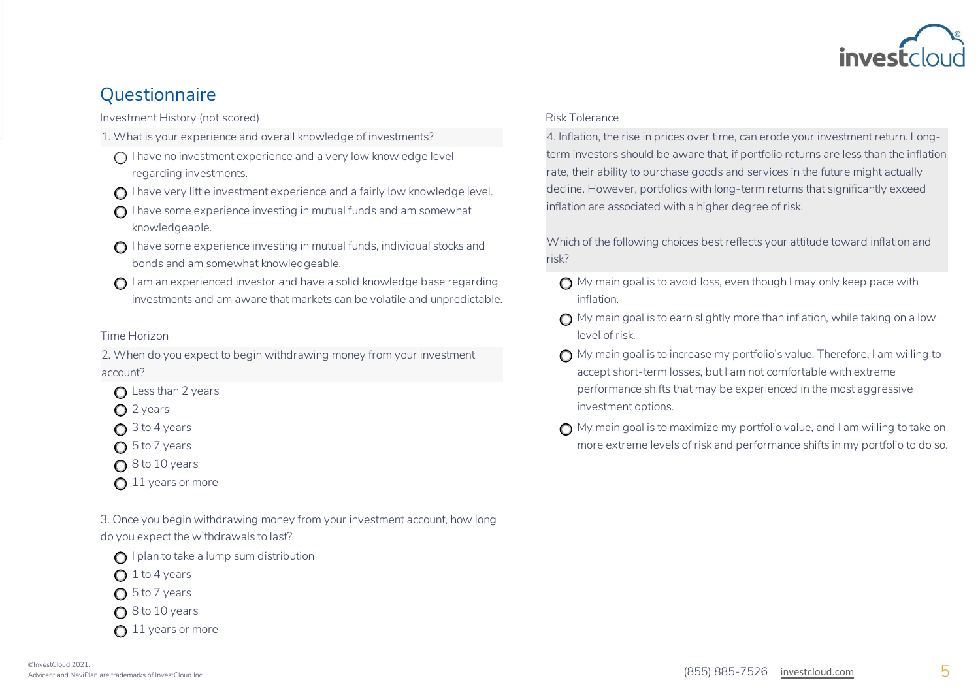

## **Questionnaire**

Investment History (not scored)

- 1. What is your experience and overall knowledge of investments?
	- $\bigcap$  I have no investment experience and a very low knowledge level regarding investments.
	- $\bigcap$  I have very little investment experience and a fairly low knowledge level.
	- $\bigcap$  I have some experience investing in mutual funds and am somewhat knowledgeable.
	- $\bigcirc$  I have some experience investing in mutual funds, individual stocks and bonds and am somewhat knowledgeable.
	- $\bigcap$  I am an experienced investor and have a solid knowledge base regarding investments and am aware that markets can be volatile and unpredictable.

2. When do you expect to begin withdrawing money from your investment account?

- $\bigcap$  Less than 2 years
- $\bigcap$  2 years
- 
- 
- $\bigcap$  8 to 10 years
- $\bigcap$  11 years or more

3. Once you begin withdrawing money from your investment account, how long do you expect the withdrawals to last?

 $\bigcap$  I plan to take a lump sum distribution

 $\bigcap$  1 to 4 years

 $\bigcap$  5 to 7 years

 $\bigcap$  8 to 10 years

 $\bigcap$  11 years or more

4. Inflation, the rise in prices over time, can erode your investment return. Longterm investors should be aware that, if portfolio returns are less than the inflation rate, their ability to purchase goods and services in the future might actually decline. However, portfolios with long-term returns that significantly exceed inflation are associated with a higher degree of risk.

Which of the following choices best reflects your attitude toward inflation and risk?

- $\bigcap$  My main goal is to avoid loss, even though I may only keep pace with inflation.
- $\bigcap$  My main goal is to earn slightly more than inflation, while taking on a low Time Horizon level of risk.
	- $\bigcap$  My main goal is to increase my portfolio's value. Therefore, I am willing to accept short-term losses, but I am not comfortable with extreme performance shifts that may be experienced in the most aggressive investment options.
	- $\bigcap$  3 to 4 years lower latter matrix and  $\bigcap$  My main goal is to maximize my portfolio value, and I am willing to take on ◯ 5 to 7 years more extreme levels of risk and performance shifts in my portfolio to do so.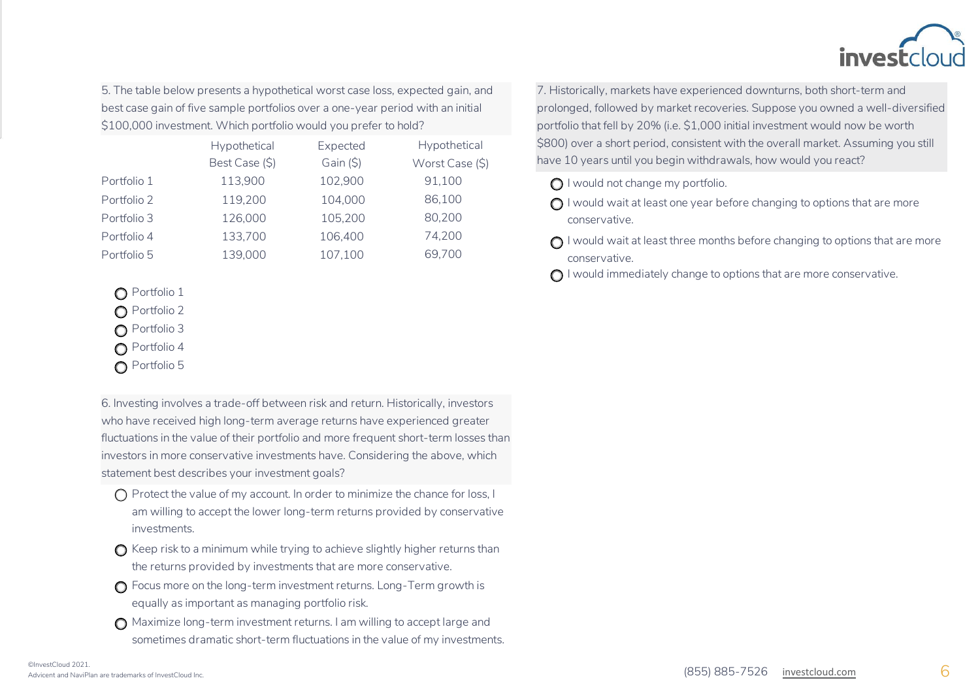

5. The table below presents a hypothetical worst case loss, expected gain, and best case gain of five sample portfolios over a one-year period with an initial \$100,000 investment. Which portfolio would you prefer to hold?

|             | Hypothetical   | Expected | Hypothetical    |
|-------------|----------------|----------|-----------------|
|             | Best Case (\$) | Gain(5)  | Worst Case (\$) |
| Portfolio 1 | 113,900        | 102,900  | 91,100          |
| Portfolio 2 | 119,200        | 104,000  | 86,100          |
| Portfolio 3 | 126,000        | 105,200  | 80,200          |
| Portfolio 4 | 133,700        | 106,400  | 74,200          |
| Portfolio 5 | 139,000        | 107,100  | 69,700          |
|             |                |          |                 |

**O** Portfolio 1

- **O** Portfolio 2
- **O** Portfolio 3
- **n** Portfolio 4
- **n** Portfolio 5

6. Investing involves a trade-off between risk and return. Historically, investors who have received high long-term average returns have experienced greater fluctuations in the value of their portfolio and more frequent short-term losses than investors in more conservative investments have. Considering the above, which statement best describes your investment goals?

- $\bigcap$  Protect the value of my account. In order to minimize the chance for loss, I am willing to accept the lower long-term returns provided by conservative investments.
- $\bigcap$  Keep risk to a minimum while trying to achieve slightly higher returns than the returns provided by investments that are more conservative.
- $\bigcap$  Focus more on the long-term investment returns. Long-Term growth is equally as important as managing portfolio risk.
- $\bigcap$  Maximize long-term investment returns. I am willing to accept large and sometimes dramatic short-term fluctuations in the value of my investments.

7. Historically, markets have experienced downturns, both short-term and prolonged, followed by market recoveries. Suppose you owned a well-diversified portfolio that fell by 20% (i.e. \$1,000 initial investment would now be worth \$800) over a short period, consistent with the overall market. Assuming you still have 10 years until you begin withdrawals, how would you react?

- **O** I would not change my portfolio.
- $\bigcap$  I would wait at least one year before changing to options that are more conservative.
- $\bigcap$  I would wait at least three months before changing to options that are more conservative.
- $\bigcap$  I would immediately change to options that are more conservative.